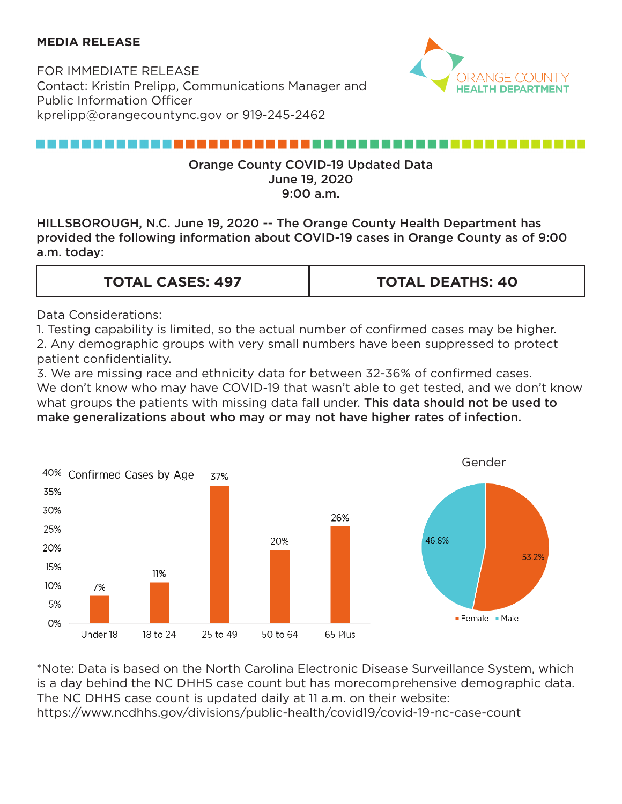#### **MEDIA RELEASE**

FOR IMMEDIATE RELEASE Contact: Kristin Prelipp, Communications Manager and Public Information Officer kprelipp@orangecountync.gov or 919-245-2462



#### ,,,,,,,,,,,,,,,,,,,,,,,,,,,

#### Orange County COVID-19 Updated Data June 19, 2020 9:00 a.m.

HILLSBOROUGH, N.C. June 19, 2020 -- The Orange County Health Department has provided the following information about COVID-19 cases in Orange County as of 9:00 a.m. today:

#### **TOTAL CASES: 497 TOTAL DEATHS: 40**

Data Considerations:

1. Testing capability is limited, so the actual number of confirmed cases may be higher. 2. Any demographic groups with very small numbers have been suppressed to protect patient confidentiality.

3. We are missing race and ethnicity data for between 32-36% of confirmed cases. We don't know who may have COVID-19 that wasn't able to get tested, and we don't know what groups the patients with missing data fall under. This data should not be used to make generalizations about who may or may not have higher rates of infection.



\*Note: Data is based on the North Carolina Electronic Disease Surveillance System, which is a day behind the NC DHHS case count but has morecomprehensive demographic data. The NC DHHS case count is updated daily at 11 a.m. on their website: <https://www.ncdhhs.gov/divisions/public-health/covid19/covid-19-nc-case-count>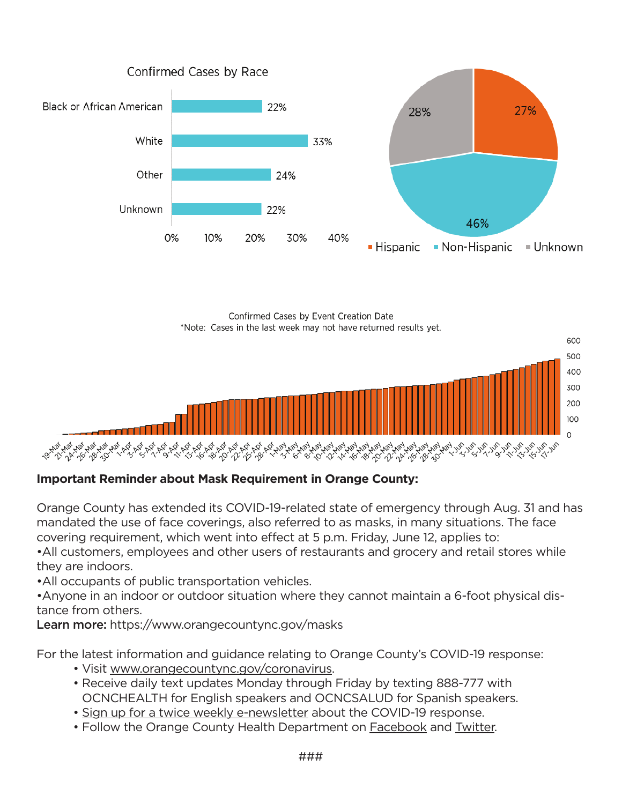





### **Important Reminder about Mask Requirement in Orange County:**

Orange County has extended its COVID-19-related state of emergency through Aug. 31 and has mandated the use of face coverings, also referred to as masks, in many situations. The face covering requirement, which went into effect at 5 p.m. Friday, June 12, applies to:

•All customers, employees and other users of restaurants and grocery and retail stores while they are indoors.

•All occupants of public transportation vehicles.

•Anyone in an indoor or outdoor situation where they cannot maintain a 6-foot physical distance from others.

Learn more:<https://www.orangecountync.gov/masks>

For the latest information and guidance relating to Orange County's COVID-19 response:

- Visit [www.orangecountync.gov/coronavirus.](https://www.orangecountync.gov/2332/Coronavirus-COVID-19)
- Receive daily text updates Monday through Friday by texting 888-777 with OCNCHEALTH for English speakers and OCNCSALUD for Spanish speakers.
- • [Sign up for a twice weekly e-newsletter](https://www.orangecountync.gov/list.aspx?ListID=358) about the COVID-19 response.
- Follow the Orange County Health Department on [Facebook](https://www.facebook.com/orangecountyhealthdepartment/?ref=bookmarks) and [Twitter.](https://twitter.com/OrangeHealthNC)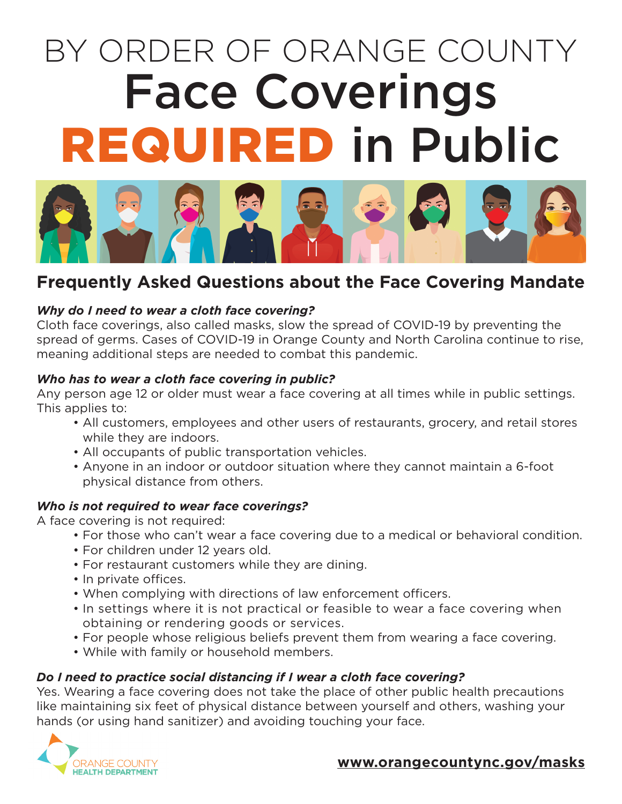# BY ORDER OF ORANGE COUNTY Face Coverings REQUIRED in Public



## **Frequently Asked Questions about the Face Covering Mandate**

#### *Why do I need to wear a cloth face covering?*

Cloth face coverings, also called masks, slow the spread of COVID-19 by preventing the spread of germs. Cases of COVID-19 in Orange County and North Carolina continue to rise, meaning additional steps are needed to combat this pandemic.

#### *Who has to wear a cloth face covering in public?*

Any person age 12 or older must wear a face covering at all times while in public settings. This applies to:

- All customers, employees and other users of restaurants, grocery, and retail stores while they are indoors.
- All occupants of public transportation vehicles.
- Anyone in an indoor or outdoor situation where they cannot maintain a 6-foot physical distance from others.

#### *Who is not required to wear face coverings?*

A face covering is not required:

- For those who can't wear a face covering due to a medical or behavioral condition.
- For children under 12 years old.
- For restaurant customers while they are dining.
- In private offices.
- When complying with directions of law enforcement officers.
- In settings where it is not practical or feasible to wear a face covering when obtaining or rendering goods or services.
- For people whose religious beliefs prevent them from wearing a face covering.
- While with family or household members.

#### *Do I need to practice social distancing if I wear a cloth face covering?*

Yes. Wearing a face covering does not take the place of other public health precautions like maintaining six feet of physical distance between yourself and others, washing your hands (or using hand sanitizer) and avoiding touching your face.



#### **[www.orangecountync.gov/masks](http://www.orangecountync.gov/masks)**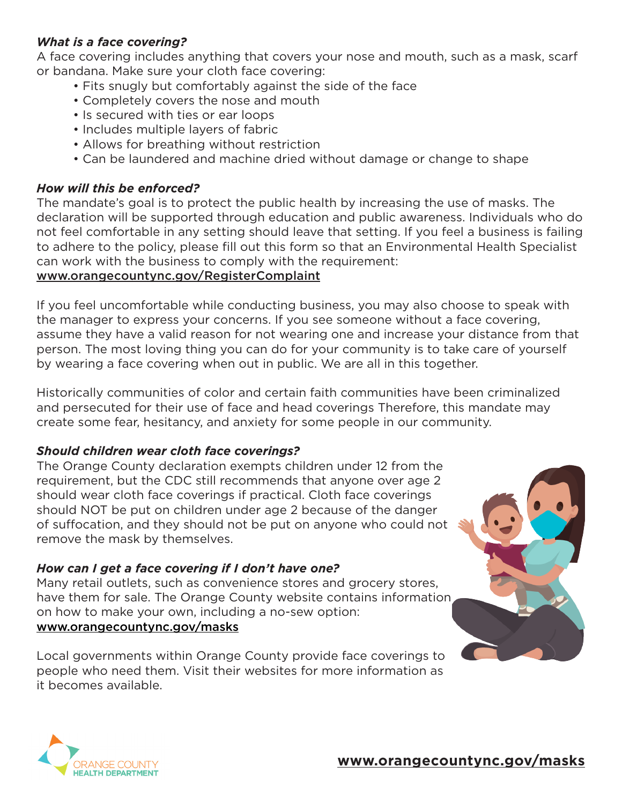#### *What is a face covering?*

A face covering includes anything that covers your nose and mouth, such as a mask, scarf or bandana. Make sure your cloth face covering:

- Fits snugly but comfortably against the side of the face
- Completely covers the nose and mouth
- Is secured with ties or ear loops
- Includes multiple layers of fabric
- Allows for breathing without restriction
- Can be laundered and machine dried without damage or change to shape

#### *How will this be enforced?*

The mandate's goal is to protect the public health by increasing the use of masks. The declaration will be supported through education and public awareness. Individuals who do not feel comfortable in any setting should leave that setting. If you feel a business is failing to adhere to the policy, please fill out this form so that an Environmental Health Specialist can work with the business to comply with the requirement:

#### www.orangecountync.gov/RegisterComplaint

If you feel uncomfortable while conducting business, you may also choose to speak with the manager to express your concerns. If you see someone without a face covering, assume they have a valid reason for not wearing one and increase your distance from that person. The most loving thing you can do for your community is to take care of yourself by wearing a face covering when out in public. We are all in this together.

Historically communities of color and certain faith communities have been criminalized and persecuted for their use of face and head coverings Therefore, this mandate may create some fear, hesitancy, and anxiety for some people in our community.

### *Should children wear cloth face coverings?*

The Orange County declaration exempts children under 12 from the requirement, but the CDC still recommends that anyone over age 2 should wear cloth face coverings if practical. Cloth face coverings should NOT be put on children under age 2 because of the danger of suffocation, and they should not be put on anyone who could not remove the mask by themselves.

### *How can I get a face covering if I don't have one?*

Many retail outlets, such as convenience stores and grocery stores, have them for sale. The Orange County website contains information on how to make your own, including a no-sew option: [www.orangecountync.gov/masks](http://www.orangecountync.gov/masks)

Local governments within Orange County provide face coverings to people who need them. Visit their websites for more information as it becomes available.



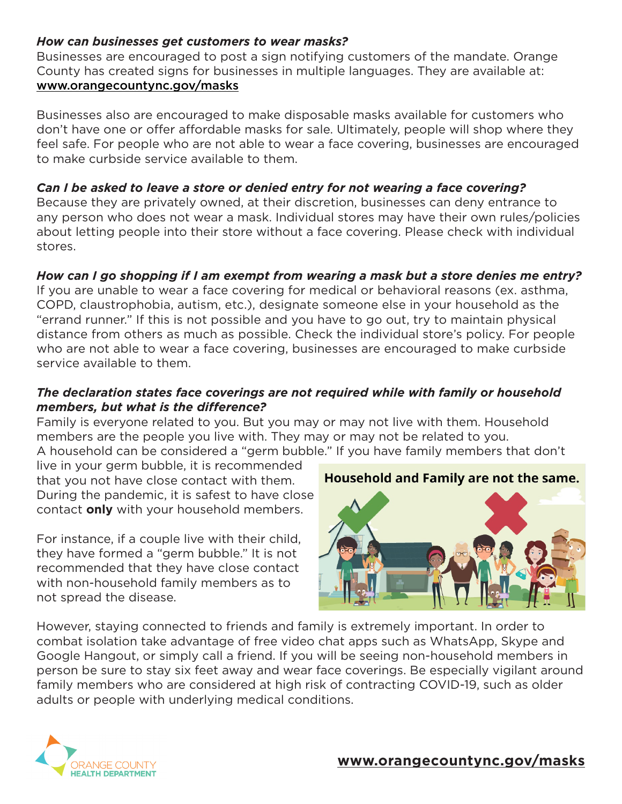#### *How can businesses get customers to wear masks?*

Businesses are encouraged to post a sign notifying customers of the mandate. Orange County has created signs for businesses in multiple languages. They are available at: [www.orangecountync.gov/masks](http://www.orangecountync.gov/masks)

Businesses also are encouraged to make disposable masks available for customers who don't have one or offer affordable masks for sale. Ultimately, people will shop where they feel safe. For people who are not able to wear a face covering, businesses are encouraged to make curbside service available to them.

#### *Can I be asked to leave a store or denied entry for not wearing a face covering?*

Because they are privately owned, at their discretion, businesses can deny entrance to any person who does not wear a mask. Individual stores may have their own rules/policies about letting people into their store without a face covering. Please check with individual stores.

#### *How can I go shopping if I am exempt from wearing a mask but a store denies me entry?*

If you are unable to wear a face covering for medical or behavioral reasons (ex. asthma, COPD, claustrophobia, autism, etc.), designate someone else in your household as the "errand runner." If this is not possible and you have to go out, try to maintain physical distance from others as much as possible. Check the individual store's policy. For people who are not able to wear a face covering, businesses are encouraged to make curbside service available to them.

#### *The declaration states face coverings are not required while with family or household members, but what is the difference?*

Family is everyone related to you. But you may or may not live with them. Household members are the people you live with. They may or may not be related to you. A household can be considered a "germ bubble." If you have family members that don't

live in your germ bubble, it is recommended that you not have close contact with them. During the pandemic, it is safest to have close contact **only** with your household members.

For instance, if a couple live with their child, they have formed a "germ bubble." It is not recommended that they have close contact with non-household family members as to not spread the disease.

### Household and Family are not the same.



However, staying connected to friends and family is extremely important. In order to combat isolation take advantage of free video chat apps such as WhatsApp, Skype and Google Hangout, or simply call a friend. If you will be seeing non-household members in person be sure to stay six feet away and wear face coverings. Be especially vigilant around family members who are considered at high risk of contracting COVID-19, such as older adults or people with underlying medical conditions.



#### **[www.orangecountync.gov/masks](http://www.orangecountync.gov/masks)**